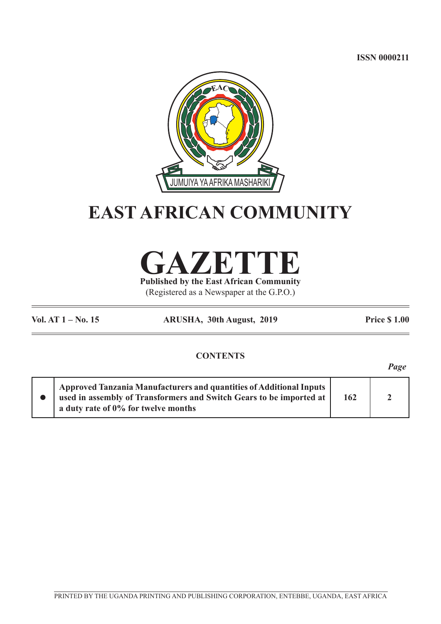**ISSN 0000211**



# **EAST AFRICAN COMMUNITY**



**Published by the East African Community** (Registered as a Newspaper at the G.P.O.)

**Vol. AT 1 – No. 15 ARUSHA, 30th August, 2019 Price \$ 1.00**

*Page*

## **CONTENTS**

l **Approved Tanzania Manufacturers and quantities of Additional Inputs used in assembly of Transformers and Switch Gears to be imported at a duty rate of 0% for twelve months 162 2**